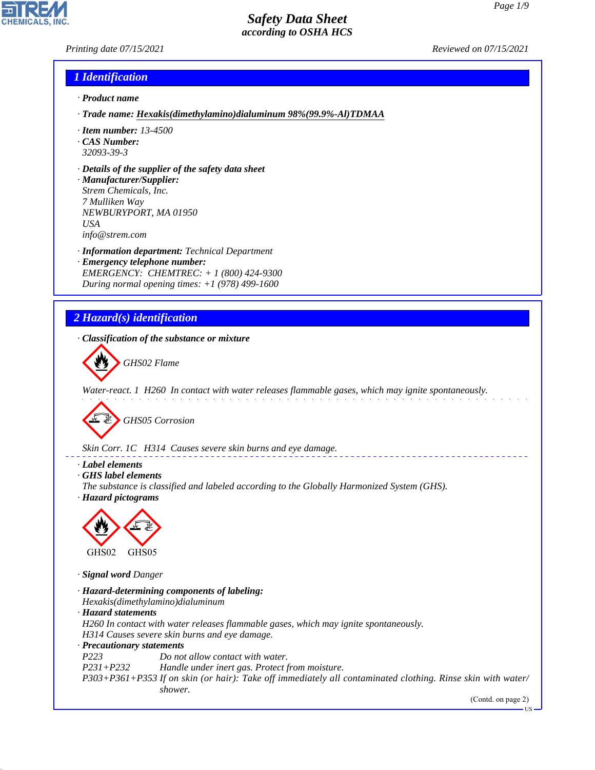*Printing date 07/15/2021 Reviewed on 07/15/2021*

## *1 Identification*

- *· Product name*
- *· Trade name: Hexakis(dimethylamino)dialuminum 98%(99.9%-Al)TDMAA*
- *· Item number: 13-4500*
- *· CAS Number: 32093-39-3*
- *· Details of the supplier of the safety data sheet*
- *· Manufacturer/Supplier: Strem Chemicals, Inc. 7 Mulliken Way NEWBURYPORT, MA 01950 USA info@strem.com*
- *· Information department: Technical Department · Emergency telephone number: EMERGENCY: CHEMTREC: + 1 (800) 424-9300 During normal opening times: +1 (978) 499-1600*

# *2 Hazard(s) identification*

*· Classification of the substance or mixture*



*Water-react. 1 H260 In contact with water releases flammable gases, which may ignite spontaneously.*

d~*GHS05 Corrosion*

*Skin Corr. 1C H314 Causes severe skin burns and eye damage.*

*· Label elements*

*· GHS label elements*

*The substance is classified and labeled according to the Globally Harmonized System (GHS). · Hazard pictograms*



*· Signal word Danger*

44.1.1

*· Hazard-determining components of labeling: Hexakis(dimethylamino)dialuminum · Hazard statements H260 In contact with water releases flammable gases, which may ignite spontaneously. H314 Causes severe skin burns and eye damage. · Precautionary statements P223 Do not allow contact with water. P231+P232 Handle under inert gas. Protect from moisture. P303+P361+P353 If on skin (or hair): Take off immediately all contaminated clothing. Rinse skin with water/ shower.*

(Contd. on page 2)

US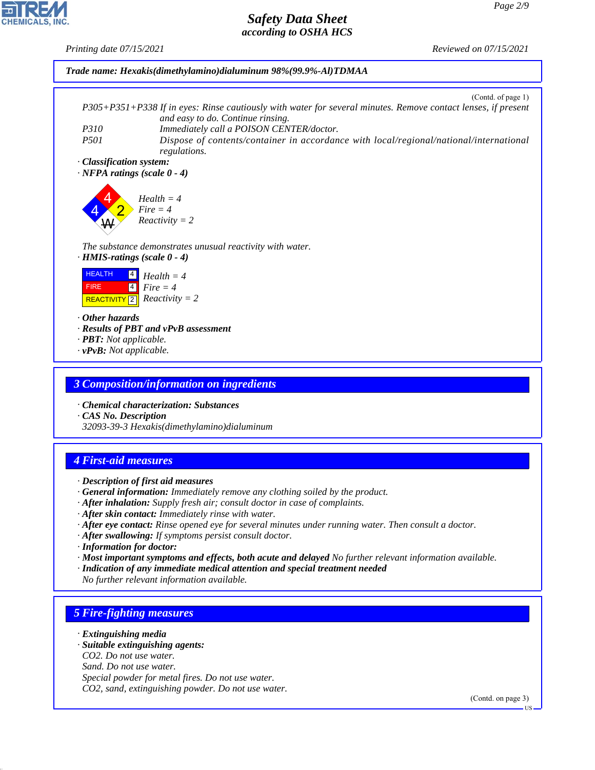

- *· After skin contact: Immediately rinse with water.*
- *· After eye contact: Rinse opened eye for several minutes under running water. Then consult a doctor.*
- *· After swallowing: If symptoms persist consult doctor.*
- *· Information for doctor:*
- *· Most important symptoms and effects, both acute and delayed No further relevant information available.*
- *· Indication of any immediate medical attention and special treatment needed*
- *No further relevant information available.*

# *5 Fire-fighting measures*

- *· Extinguishing media*
- *· Suitable extinguishing agents:*
- *CO2. Do not use water.*
- *Sand. Do not use water.*

44.1.1

*Special powder for metal fires. Do not use water. CO2, sand, extinguishing powder. Do not use water.*

(Contd. on page 3)

US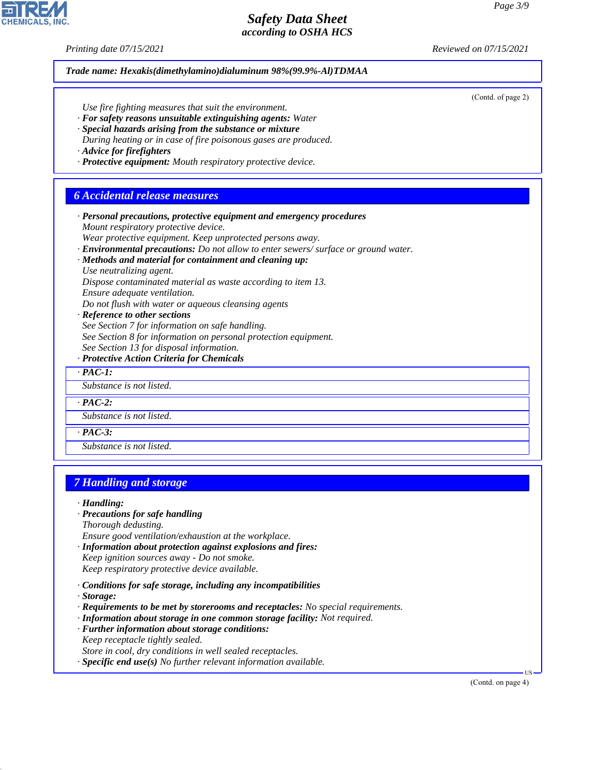*Printing date 07/15/2021 Reviewed on 07/15/2021*

*Trade name: Hexakis(dimethylamino)dialuminum 98%(99.9%-Al)TDMAA* (Contd. of page 2) *Use fire fighting measures that suit the environment. · For safety reasons unsuitable extinguishing agents: Water · Special hazards arising from the substance or mixture During heating or in case of fire poisonous gases are produced. · Advice for firefighters · Protective equipment: Mouth respiratory protective device. 6 Accidental release measures · Personal precautions, protective equipment and emergency procedures Mount respiratory protective device. Wear protective equipment. Keep unprotected persons away. · Environmental precautions: Do not allow to enter sewers/ surface or ground water. · Methods and material for containment and cleaning up: Use neutralizing agent. Dispose contaminated material as waste according to item 13. Ensure adequate ventilation. Do not flush with water or aqueous cleansing agents · Reference to other sections See Section 7 for information on safe handling. See Section 8 for information on personal protection equipment. See Section 13 for disposal information. · Protective Action Criteria for Chemicals · PAC-1: Substance is not listed. · PAC-2: Substance is not listed. · PAC-3: Substance is not listed. 7 Handling and storage · Handling: · Precautions for safe handling Thorough dedusting. Ensure good ventilation/exhaustion at the workplace. · Information about protection against explosions and fires: Keep ignition sources away - Do not smoke. Keep respiratory protective device available. · Conditions for safe storage, including any incompatibilities · Storage: · Requirements to be met by storerooms and receptacles: No special requirements. · Information about storage in one common storage facility: Not required. · Further information about storage conditions:*

*Keep receptacle tightly sealed.*

44.1.1

*Store in cool, dry conditions in well sealed receptacles.*

*· Specific end use(s) No further relevant information available.*

(Contd. on page 4)

US

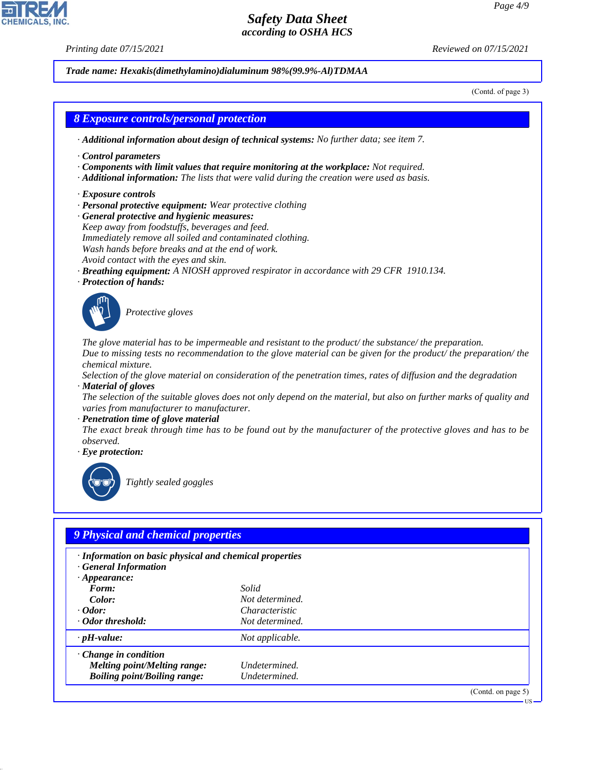44.1.1

*Printing date 07/15/2021 Reviewed on 07/15/2021*

*Trade name: Hexakis(dimethylamino)dialuminum 98%(99.9%-Al)TDMAA*

(Contd. of page 3)

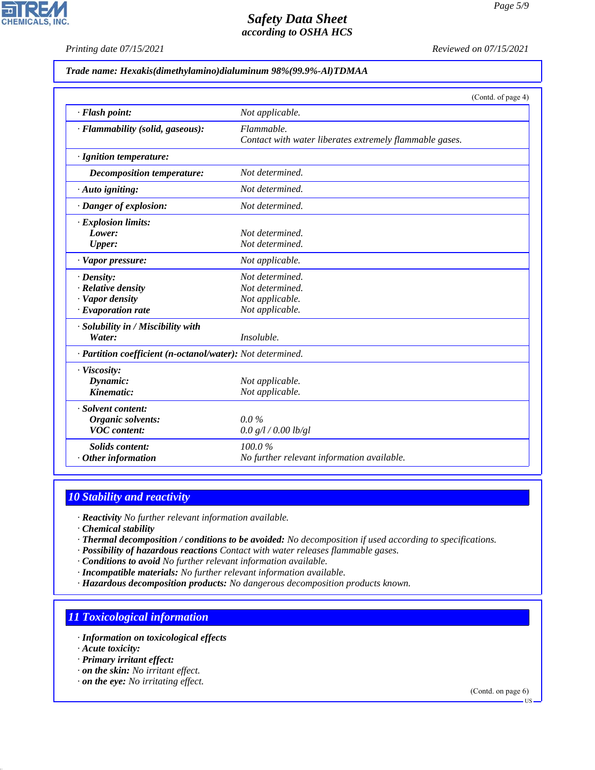*Printing date 07/15/2021 Reviewed on 07/15/2021*

#### *Trade name: Hexakis(dimethylamino)dialuminum 98%(99.9%-Al)TDMAA*

|                                                            |                                                                       | (Contd. of page 4) |
|------------------------------------------------------------|-----------------------------------------------------------------------|--------------------|
| · Flash point:                                             | Not applicable.                                                       |                    |
| · Flammability (solid, gaseous):                           | Flammable.<br>Contact with water liberates extremely flammable gases. |                    |
| · Ignition temperature:                                    |                                                                       |                    |
| Decomposition temperature:                                 | Not determined.                                                       |                    |
| $\cdot$ Auto igniting:                                     | Not determined.                                                       |                    |
| · Danger of explosion:                                     | Not determined.                                                       |                    |
| $\cdot$ Explosion limits:                                  |                                                                       |                    |
| Lower:                                                     | Not determined.                                                       |                    |
| <b>Upper:</b>                                              | Not determined.                                                       |                    |
| $\cdot$ Vapor pressure:                                    | Not applicable.                                                       |                    |
| $\cdot$ Density:                                           | Not determined.                                                       |                    |
| · Relative density                                         | Not determined.                                                       |                    |
| · Vapor density                                            | Not applicable.                                                       |                    |
| $\cdot$ Evaporation rate                                   | Not applicable.                                                       |                    |
| · Solubility in / Miscibility with                         |                                                                       |                    |
| Water:                                                     | Insoluble.                                                            |                    |
| · Partition coefficient (n-octanol/water): Not determined. |                                                                       |                    |
| · Viscosity:                                               |                                                                       |                    |
| Dynamic:                                                   | Not applicable.                                                       |                    |
| Kinematic:                                                 | Not applicable.                                                       |                    |
| · Solvent content:                                         |                                                                       |                    |
| Organic solvents:                                          | $0.0\%$                                                               |                    |
| <b>VOC</b> content:                                        | 0.0 g/l / 0.00 lb/gl                                                  |                    |
| Solids content:                                            | 100.0%                                                                |                    |
| $\cdot$ Other information                                  | No further relevant information available.                            |                    |

## *10 Stability and reactivity*

*· Reactivity No further relevant information available.*

*· Chemical stability*

- *· Thermal decomposition / conditions to be avoided: No decomposition if used according to specifications.*
- *· Possibility of hazardous reactions Contact with water releases flammable gases.*

*· Conditions to avoid No further relevant information available.*

- *· Incompatible materials: No further relevant information available.*
- *· Hazardous decomposition products: No dangerous decomposition products known.*

### *11 Toxicological information*

- *· Information on toxicological effects*
- *· Acute toxicity:*

44.1.1

- *· Primary irritant effect:*
- *· on the skin: No irritant effect.*
- *· on the eye: No irritating effect.*

(Contd. on page 6)



US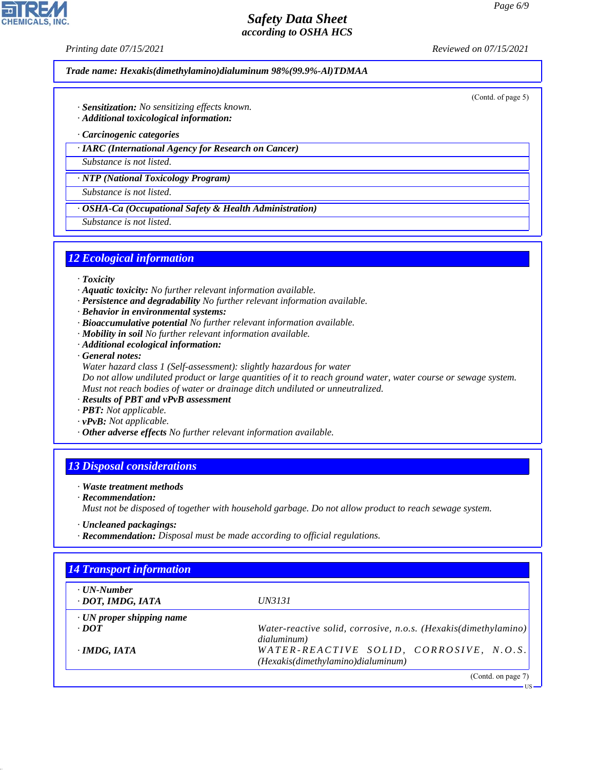*Printing date 07/15/2021 Reviewed on 07/15/2021*

*Trade name: Hexakis(dimethylamino)dialuminum 98%(99.9%-Al)TDMAA*

(Contd. of page 5)

- *· Sensitization: No sensitizing effects known.*
- *· Additional toxicological information:*
- *· Carcinogenic categories*
- *· IARC (International Agency for Research on Cancer)*

*Substance is not listed.*

*· NTP (National Toxicology Program)*

*Substance is not listed.*

*· OSHA-Ca (Occupational Safety & Health Administration)*

*Substance is not listed.*

## *12 Ecological information*

- *· Toxicity*
- *· Aquatic toxicity: No further relevant information available.*
- *· Persistence and degradability No further relevant information available.*
- *· Behavior in environmental systems:*
- *· Bioaccumulative potential No further relevant information available.*
- *· Mobility in soil No further relevant information available.*
- *· Additional ecological information:*

*· General notes:*

*Water hazard class 1 (Self-assessment): slightly hazardous for water*

*Do not allow undiluted product or large quantities of it to reach ground water, water course or sewage system. Must not reach bodies of water or drainage ditch undiluted or unneutralized.*

- *· Results of PBT and vPvB assessment*
- *· PBT: Not applicable.*
- *· vPvB: Not applicable.*
- *· Other adverse effects No further relevant information available.*

## *13 Disposal considerations*

- *· Waste treatment methods*
- *· Recommendation:*

44.1.1

*Must not be disposed of together with household garbage. Do not allow product to reach sewage system.*

- *· Uncleaned packagings:*
- *· Recommendation: Disposal must be made according to official regulations.*

| $\cdot$ UN-Number<br>· DOT, IMDG, IATA | <i>UN3131</i>                                                                  |
|----------------------------------------|--------------------------------------------------------------------------------|
| $\cdot$ UN proper shipping name        |                                                                                |
| $\cdot$ <i>DOT</i>                     | Water-reactive solid, corrosive, n.o.s. (Hexakis(dimethylamino)<br>dialuminum) |
| $\cdot$ IMDG, IATA                     | WATER-REACTIVE SOLID, CORROSIVE, N.O.S.<br>(Hexakis(dimethylamino)dialuminum)  |

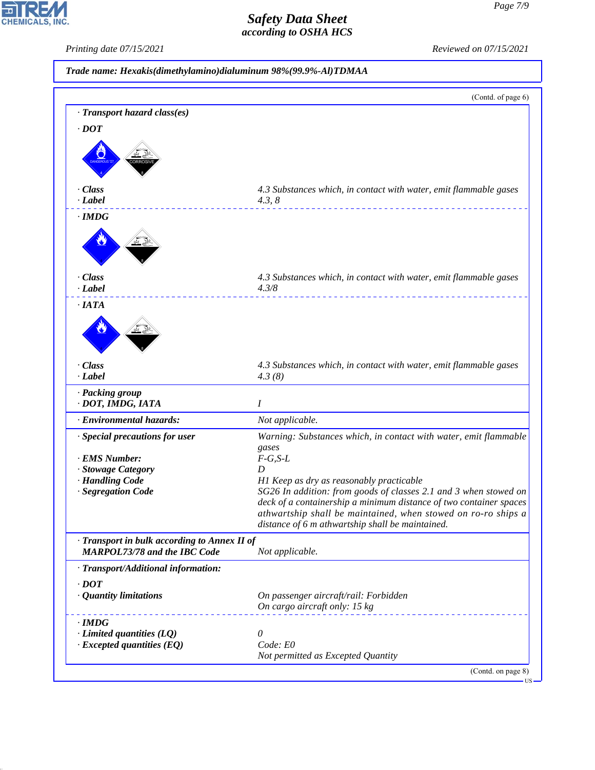*Printing date 07/15/2021 Reviewed on 07/15/2021*

|                                                 | (Contd. of page 6)                                                                                           |
|-------------------------------------------------|--------------------------------------------------------------------------------------------------------------|
| · Transport hazard class(es)                    |                                                                                                              |
| $\cdot$ <i>DOT</i>                              |                                                                                                              |
|                                                 |                                                                                                              |
|                                                 |                                                                                                              |
|                                                 |                                                                                                              |
|                                                 |                                                                                                              |
| · Class                                         | 4.3 Substances which, in contact with water, emit flammable gases                                            |
| $-Label$                                        | 4.3, 8                                                                                                       |
| $\cdot$ IMDG                                    |                                                                                                              |
|                                                 |                                                                                                              |
|                                                 |                                                                                                              |
|                                                 |                                                                                                              |
| · Class                                         | 4.3 Substances which, in contact with water, emit flammable gases                                            |
| $\cdot$ <i>Label</i>                            | 4.3/8                                                                                                        |
| $\cdot$ IATA                                    |                                                                                                              |
|                                                 |                                                                                                              |
|                                                 |                                                                                                              |
|                                                 |                                                                                                              |
|                                                 |                                                                                                              |
| · Class                                         | 4.3 Substances which, in contact with water, emit flammable gases                                            |
| $\cdot$ <i>Label</i>                            | 4.3(8)                                                                                                       |
| · Packing group                                 |                                                                                                              |
| · DOT, IMDG, IATA                               | I                                                                                                            |
| · Environmental hazards:                        | Not applicable.                                                                                              |
| · Special precautions for user                  | Warning: Substances which, in contact with water, emit flammable                                             |
|                                                 | gases                                                                                                        |
| · EMS Number:                                   | $F-G, S-L$                                                                                                   |
| · Stowage Category                              | D                                                                                                            |
| · Handling Code<br>· Segregation Code           | H1 Keep as dry as reasonably practicable<br>SG26 In addition: from goods of classes 2.1 and 3 when stowed on |
|                                                 | deck of a containership a minimum distance of two container spaces                                           |
|                                                 | athwartship shall be maintained, when stowed on ro-ro ships a                                                |
|                                                 | distance of 6 m athwartship shall be maintained.                                                             |
| · Transport in bulk according to Annex II of    |                                                                                                              |
| <b>MARPOL73/78 and the IBC Code</b>             | Not applicable.                                                                                              |
| · Transport/Additional information:             |                                                                                                              |
|                                                 |                                                                                                              |
| $\cdot$ <i>DOT</i>                              |                                                                                                              |
| · Quantity limitations                          | On passenger aircraft/rail: Forbidden<br>On cargo aircraft only: 15 kg                                       |
|                                                 |                                                                                                              |
| $\cdot$ IMDG<br>$\cdot$ Limited quantities (LQ) | 0                                                                                                            |
| $\cdot$ Excepted quantities (EQ)                | Code: E0                                                                                                     |
|                                                 | Not permitted as Excepted Quantity                                                                           |
|                                                 |                                                                                                              |



44.1.1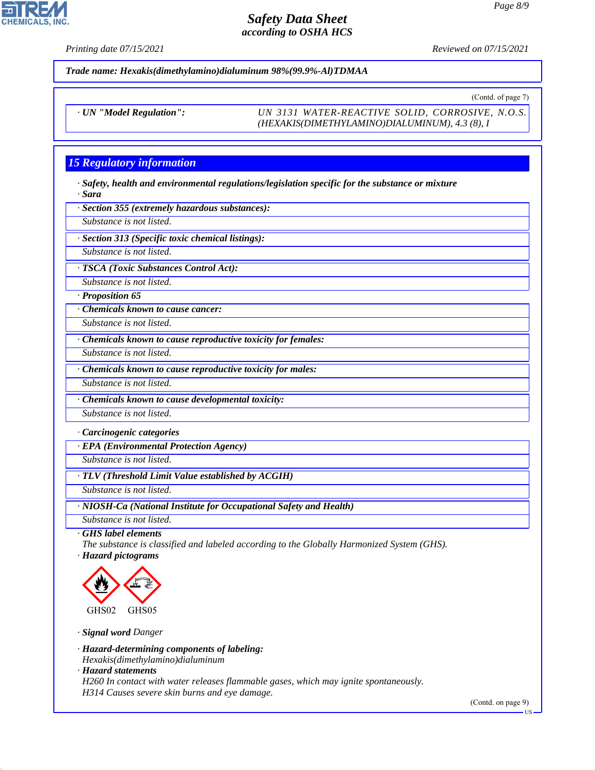**CHEMICALS** 

*Printing date 07/15/2021 Reviewed on 07/15/2021*

*Trade name: Hexakis(dimethylamino)dialuminum 98%(99.9%-Al)TDMAA*

(Contd. of page 7)

*· UN "Model Regulation": UN 3131 WATER-REACTIVE SOLID, CORROSIVE, N.O.S. (HEXAKIS(DIMETHYLAMINO)DIALUMINUM), 4.3 (8), I*

# *15 Regulatory information*

*· Safety, health and environmental regulations/legislation specific for the substance or mixture · Sara*

*· Section 355 (extremely hazardous substances):*

*Substance is not listed.*

*· Section 313 (Specific toxic chemical listings):*

*Substance is not listed.*

*· TSCA (Toxic Substances Control Act):*

*Substance is not listed.*

*· Proposition 65*

*· Chemicals known to cause cancer:*

*Substance is not listed.*

*· Chemicals known to cause reproductive toxicity for females:*

*Substance is not listed.*

*· Chemicals known to cause reproductive toxicity for males:*

*Substance is not listed.*

*· Chemicals known to cause developmental toxicity:*

*Substance is not listed.*

*· Carcinogenic categories*

*· EPA (Environmental Protection Agency)*

*Substance is not listed.*

*· TLV (Threshold Limit Value established by ACGIH)*

*Substance is not listed.*

*· NIOSH-Ca (National Institute for Occupational Safety and Health)*

*Substance is not listed.*

*· GHS label elements*

*The substance is classified and labeled according to the Globally Harmonized System (GHS).*

*· Hazard pictograms*



*· Signal word Danger*

*· Hazard-determining components of labeling:*

*Hexakis(dimethylamino)dialuminum*

*· Hazard statements*

44.1.1

*H260 In contact with water releases flammable gases, which may ignite spontaneously. H314 Causes severe skin burns and eye damage.*

(Contd. on page 9)